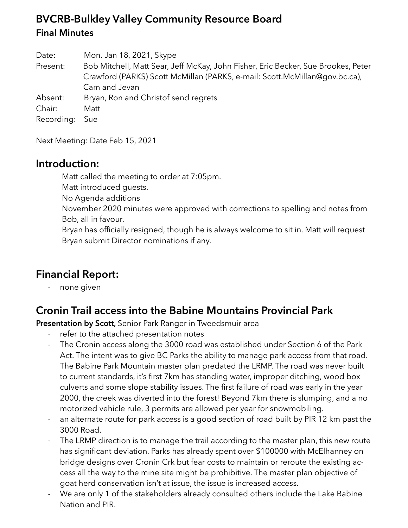# **BVCRB-Bulkley Valley Community Resource Board Final Minutes**

Date: Mon. Jan 18, 2021, Skype Present: Bob Mitchell, Matt Sear, Jeff McKay, John Fisher, Eric Becker, Sue Brookes, Peter Crawford (PARKS) Scott McMillan (PARKS, e-mail: Scott.McMillan@gov.bc.ca), Cam and Jevan Absent: Bryan, Ron and Christof send regrets Chair: Matt Recording: Sue

Next Meeting: Date Feb 15, 2021

### **Introduction:**

Matt called the meeting to order at 7:05pm.

Matt introduced guests.

No Agenda additions

November 2020 minutes were approved with corrections to spelling and notes from Bob, all in favour.

Bryan has officially resigned, though he is always welcome to sit in. Matt will request Bryan submit Director nominations if any.

# **Financial Report:**

- none given

### **Cronin Trail access into the Babine Mountains Provincial Park**

**Presentation by Scott,** Senior Park Ranger in Tweedsmuir area

- refer to the attached presentation notes
- The Cronin access along the 3000 road was established under Section 6 of the Park Act. The intent was to give BC Parks the ability to manage park access from that road. The Babine Park Mountain master plan predated the LRMP. The road was never built to current standards, it's first 7km has standing water, improper ditching, wood box culverts and some slope stability issues. The first failure of road was early in the year 2000, the creek was diverted into the forest! Beyond 7km there is slumping, and a no motorized vehicle rule, 3 permits are allowed per year for snowmobiling.
- an alternate route for park access is a good section of road built by PIR 12 km past the 3000 Road.
- The LRMP direction is to manage the trail according to the master plan, this new route has significant deviation. Parks has already spent over \$100000 with McElhanney on bridge designs over Cronin Crk but fear costs to maintain or reroute the existing access all the way to the mine site might be prohibitive. The master plan objective of goat herd conservation isn't at issue, the issue is increased access.
- We are only 1 of the stakeholders already consulted others include the Lake Babine Nation and PIR.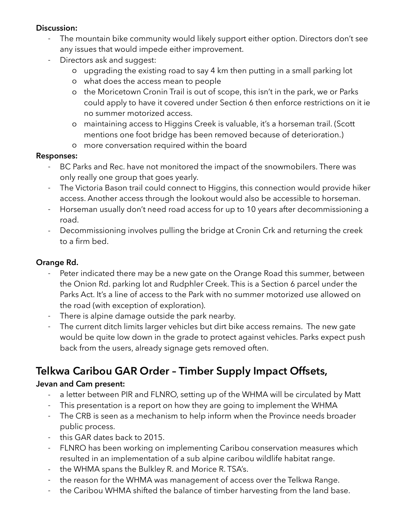#### **Discussion:**

- The mountain bike community would likely support either option. Directors don't see any issues that would impede either improvement.
- Directors ask and suggest:
	- o upgrading the existing road to say 4 km then putting in a small parking lot
	- o what does the access mean to people
	- o the Moricetown Cronin Trail is out of scope, this isn't in the park, we or Parks could apply to have it covered under Section 6 then enforce restrictions on it ie no summer motorized access.
	- o maintaining access to Higgins Creek is valuable, it's a horseman trail. (Scott mentions one foot bridge has been removed because of deterioration.)
	- o more conversation required within the board

#### **Responses:**

- BC Parks and Rec. have not monitored the impact of the snowmobilers. There was only really one group that goes yearly.
- The Victoria Bason trail could connect to Higgins, this connection would provide hiker access. Another access through the lookout would also be accessible to horseman.
- Horseman usually don't need road access for up to 10 years after decommissioning a road.
- Decommissioning involves pulling the bridge at Cronin Crk and returning the creek to a firm bed.

### **Orange Rd.**

- Peter indicated there may be a new gate on the Orange Road this summer, between the Onion Rd. parking lot and Rudphler Creek. This is a Section 6 parcel under the Parks Act. It's a line of access to the Park with no summer motorized use allowed on the road (with exception of exploration).
- There is alpine damage outside the park nearby.
- The current ditch limits larger vehicles but dirt bike access remains. The new gate would be quite low down in the grade to protect against vehicles. Parks expect push back from the users, already signage gets removed often.

# **Telkwa Caribou GAR Order – Timber Supply Impact Offsets,**

#### **Jevan and Cam present:**

- a letter between PIR and FLNRO, setting up of the WHMA will be circulated by Matt
- This presentation is a report on how they are going to implement the WHMA
- The CRB is seen as a mechanism to help inform when the Province needs broader public process.
- this GAR dates back to 2015.
- FLNRO has been working on implementing Caribou conservation measures which resulted in an implementation of a sub alpine caribou wildlife habitat range.
- the WHMA spans the Bulkley R. and Morice R. TSA's.
- the reason for the WHMA was management of access over the Telkwa Range.
- the Caribou WHMA shifted the balance of timber harvesting from the land base.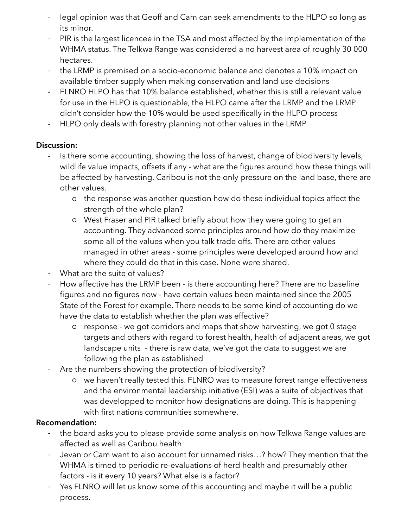- legal opinion was that Geoff and Cam can seek amendments to the HLPO so long as its minor.
- PIR is the largest licencee in the TSA and most affected by the implementation of the WHMA status. The Telkwa Range was considered a no harvest area of roughly 30 000 hectares.
- the LRMP is premised on a socio-economic balance and denotes a 10% impact on available timber supply when making conservation and land use decisions
- FLNRO HLPO has that 10% balance established, whether this is still a relevant value for use in the HLPO is questionable, the HLPO came after the LRMP and the LRMP didn't consider how the 10% would be used specifically in the HLPO process
- HLPO only deals with forestry planning not other values in the LRMP

### **Discussion:**

- Is there some accounting, showing the loss of harvest, change of biodiversity levels, wildlife value impacts, offsets if any - what are the figures around how these things will be affected by harvesting. Caribou is not the only pressure on the land base, there are other values.
	- o the response was another question how do these individual topics affect the strength of the whole plan?
	- o West Fraser and PIR talked briefly about how they were going to get an accounting. They advanced some principles around how do they maximize some all of the values when you talk trade offs. There are other values managed in other areas - some principles were developed around how and where they could do that in this case. None were shared.
- What are the suite of values?
- How affective has the LRMP been is there accounting here? There are no baseline figures and no figures now - have certain values been maintained since the 2005 State of the Forest for example. There needs to be some kind of accounting do we have the data to establish whether the plan was effective?
	- o response we got corridors and maps that show harvesting, we got 0 stage targets and others with regard to forest health, health of adjacent areas, we got landscape units - there is raw data, we've got the data to suggest we are following the plan as established
- Are the numbers showing the protection of biodiversity?
	- o we haven't really tested this. FLNRO was to measure forest range effectiveness and the environmental leadership initiative (ESI) was a suite of objectives that was developped to monitor how designations are doing. This is happening with first nations communities somewhere.

### **Recomendation:**

- the board asks you to please provide some analysis on how Telkwa Range values are affected as well as Caribou health
- Jevan or Cam want to also account for unnamed risks...? how? They mention that the WHMA is timed to periodic re-evaluations of herd health and presumably other factors - is it every 10 years? What else is a factor?
- Yes FLNRO will let us know some of this accounting and maybe it will be a public process.